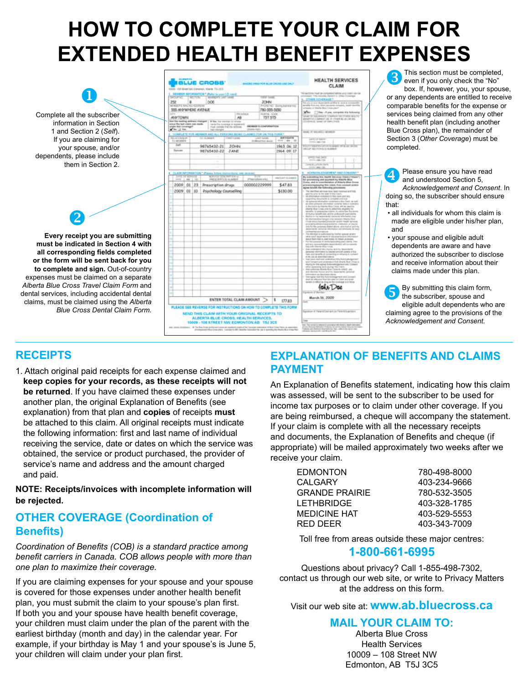# **HOW TO COMPLETE YOUR CLAIM FOR EXTENDED HEALTH BENEFIT EXPENSES**



### **RECEIPTS**

1. Attach original paid receipts for each expense claimed and **keep copies for your records, as these receipts will not be returned**. If you have claimed these expenses under another plan, the original Explanation of Benefits (see explanation) from that plan and **copies** of receipts **must**  be attached to this claim. All original receipts must indicate the following information: first and last name of individual receiving the service, date or dates on which the service was obtained, the service or product purchased, the provider of service's name and address and the amount charged and paid.

**NOTE: Receipts/invoices with incomplete information will be rejected.**

### **OTHER COVERAGE (Coordination of Benefits)**

*Coordination of Benefits (COB) is a standard practice among benefit carriers in Canada. COB allows people with more than one plan to maximize their coverage.*

If you are claiming expenses for your spouse and your spouse is covered for those expenses under another health benefit plan, you must submit the claim to your spouse's plan first. If both you and your spouse have health benefit coverage, your children must claim under the plan of the parent with the earliest birthday (month and day) in the calendar year. For example, if your birthday is May 1 and your spouse's is June 5, your children will claim under your plan first.

### **EXPLANATION OF BENEFITS AND CLAIMS PAYMENT**

An Explanation of Benefits statement, indicating how this claim was assessed, will be sent to the subscriber to be used for income tax purposes or to claim under other coverage. If you are being reimbursed, a cheque will accompany the statement. If your claim is complete with all the necessary receipts and documents, the Explanation of Benefits and cheque (if appropriate) will be mailed approximately two weeks after we receive your claim.

| EDMONTON              | 780-498-8000 |
|-----------------------|--------------|
| <b>CALGARY</b>        | 403-234-9666 |
| <b>GRANDE PRAIRIE</b> | 780-532-3505 |
| LETHBRIDGE            | 403-328-1785 |
| <b>MEDICINE HAT</b>   | 403-529-5553 |
| RED DEFR              | 403-343-7009 |
|                       |              |

Toll free from areas outside these major centres:

### **1-800-661-6995**

Questions about privacy? Call 1-855-498-7302, contact us through our web site, or write to Privacy Matters at the address on this form.

Visit our web site at: **www.ab.bluecross.ca**

**MAIL YOUR CLAIM TO:**

Alberta Blue Cross Health Services 10009 – 108 Street NW Edmonton, AB T5J 3C5